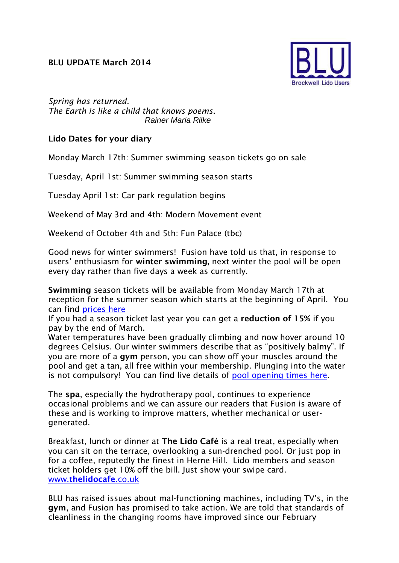## **BLU UPDATE March 2014**



*Spring has returned. The Earth is like a child that knows poems*. *Rainer Maria Rilke*

## **Lido Dates for your diary**

Monday March 17th: Summer swimming season tickets go on sale

Tuesday, April 1st: Summer swimming season starts

Tuesday April 1st: Car park regulation begins

Weekend of May 3rd and 4th: Modern Movement event

Weekend of October 4th and 5th: Fun Palace (tbc)

Good news for winter swimmers! Fusion have told us that, in response to users' enthusiasm for **winter swimming,** next winter the pool will be open every day rather than five days a week as currently.

**Swimming** season tickets will be available from Monday March 17th at reception for the summer season which starts at the beginning of April. You can find [prices here](http://www.fusion-lifestyle.com/cms_uploads/file/Brockwell/Brockwell_Lido/2014/Brockwell_Lido_Price_List_LR.pdf)

If you had a season ticket last year you can get a **reduction of 15%** if you pay by the end of March.

Water temperatures have been gradually climbing and now hover around 10 degrees Celsius. Our winter swimmers describe that as "positively balmy". If you are more of a **gym** person, you can show off your muscles around the pool and get a tan, all free within your membership. Plunging into the water is not compulsory! You can find live details of [pool opening times here.](http://www.fusion-lifestyle.com/centres/Brockwell_Lido/activity/Swimming)

The **spa**, especially the hydrotherapy pool, continues to experience occasional problems and we can assure our readers that Fusion is aware of these and is working to improve matters, whether mechanical or usergenerated.

Breakfast, lunch or dinner at **The Lido Café** is a real treat, especially when you can sit on the terrace, overlooking a sun-drenched pool. Or just pop in for a coffee, reputedly the finest in Herne Hill. Lido members and season ticket holders get 10% off the bill. Just show your swipe card. www.**[thelidocafe](http://www.thelidocafe.co.uk/)**.co.uk

BLU has raised issues about mal-functioning machines, including TV's, in the **gym**, and Fusion has promised to take action. We are told that standards of cleanliness in the changing rooms have improved since our February